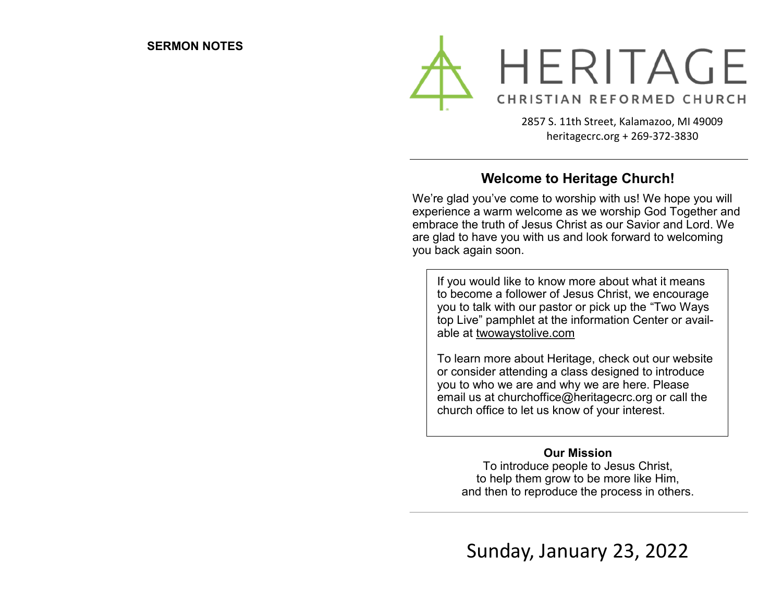

2857 S. 11th Street, Kalamazoo, MI 49009 heritagecrc.org + 269-372-3830

## **Welcome to Heritage Church!**

We're glad you've come to worship with us! We hope you will experience a warm welcome as we worship God Together and embrace the truth of Jesus Christ as our Savior and Lord. We are glad to have you with us and look forward to welcoming you back again soon.

If you would like to know more about what it means to become a follower of Jesus Christ, we encourage you to talk with our pastor or pick up the "Two Ways top Live" pamphlet at the information Center or available at twowaystolive.com

To learn more about Heritage, check out our website or consider attending a class designed to introduce you to who we are and why we are here. Please email us at churchoffice@heritagecrc.org or call the church office to let us know of your interest.

#### **Our Mission**

To introduce people to Jesus Christ, to help them grow to be more like Him, and then to reproduce the process in others.

Sunday, January 23, 2022